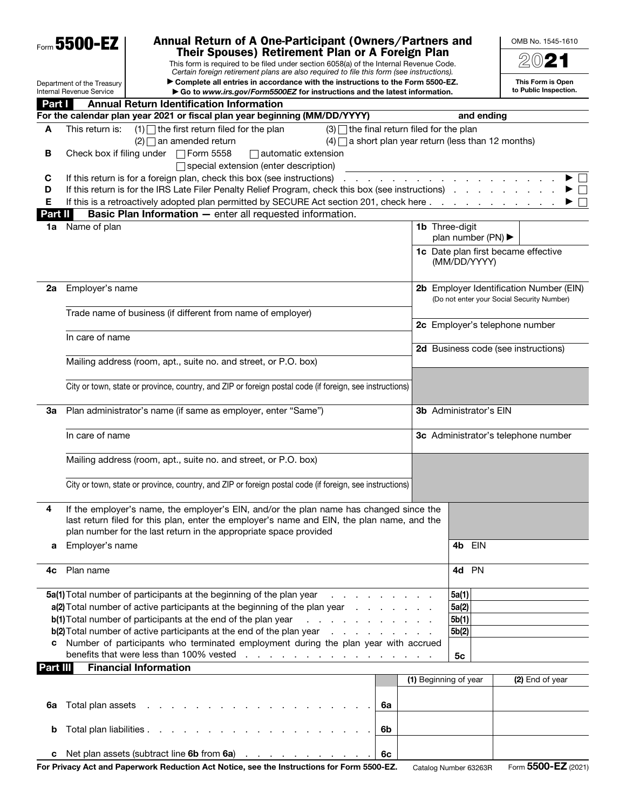|          | Form 5500-EZ                                                  | Annual Return of A One-Participant (Owners/Partners and                                                                                                                                                                        |                       |                                        | OMB No. 1545-1610                                                                     |  |
|----------|---------------------------------------------------------------|--------------------------------------------------------------------------------------------------------------------------------------------------------------------------------------------------------------------------------|-----------------------|----------------------------------------|---------------------------------------------------------------------------------------|--|
|          |                                                               | Their Spouses) Retirement Plan or A Foreign Plan                                                                                                                                                                               |                       |                                        | $20$ 21                                                                               |  |
|          |                                                               | This form is required to be filed under section 6058(a) of the Internal Revenue Code.<br>Certain foreign retirement plans are also required to file this form (see instructions).                                              |                       |                                        |                                                                                       |  |
|          | Department of the Treasury<br><b>Internal Revenue Service</b> | Complete all entries in accordance with the instructions to the Form 5500-EZ.<br>Go to www.irs.gov/Form5500EZ for instructions and the latest information.                                                                     |                       |                                        | This Form is Open<br>to Public Inspection.                                            |  |
| Part I   | <b>Annual Return Identification Information</b>               |                                                                                                                                                                                                                                |                       |                                        |                                                                                       |  |
|          |                                                               | For the calendar plan year 2021 or fiscal plan year beginning (MM/DD/YYYY)                                                                                                                                                     |                       | and ending                             |                                                                                       |  |
| A        | This return is:                                               | $(1)$ the first return filed for the plan<br>$(3)$ the final return filed for the plan                                                                                                                                         |                       |                                        |                                                                                       |  |
|          |                                                               | $(4)$ a short plan year return (less than 12 months)<br>$(2)$ an amended return                                                                                                                                                |                       |                                        |                                                                                       |  |
| В        | Check box if filing under □ Form 5558                         | $\Box$ automatic extension                                                                                                                                                                                                     |                       |                                        |                                                                                       |  |
|          |                                                               | □ special extension (enter description)                                                                                                                                                                                        |                       |                                        |                                                                                       |  |
| C        |                                                               | If this return is for a foreign plan, check this box (see instructions) entertainment of the set of the set of the set of the set of the set of the set of the set of the set of the set of the set of the set of the set of t |                       |                                        |                                                                                       |  |
| D        |                                                               | If this return is for the IRS Late Filer Penalty Relief Program, check this box (see instructions).                                                                                                                            |                       |                                        |                                                                                       |  |
| Е        |                                                               | If this is a retroactively adopted plan permitted by SECURE Act section 201, check here                                                                                                                                        |                       |                                        |                                                                                       |  |
| Part II  | Name of plan                                                  | <b>Basic Plan Information - enter all requested information.</b>                                                                                                                                                               | <b>1b</b> Three-digit |                                        |                                                                                       |  |
| 1a       |                                                               |                                                                                                                                                                                                                                |                       | plan number (PN) $\blacktriangleright$ |                                                                                       |  |
|          |                                                               |                                                                                                                                                                                                                                |                       | (MM/DD/YYYY)                           | 1c Date plan first became effective                                                   |  |
|          |                                                               |                                                                                                                                                                                                                                |                       |                                        |                                                                                       |  |
| 2a       | Employer's name                                               |                                                                                                                                                                                                                                |                       |                                        | 2b Employer Identification Number (EIN)<br>(Do not enter your Social Security Number) |  |
|          |                                                               | Trade name of business (if different from name of employer)                                                                                                                                                                    |                       |                                        |                                                                                       |  |
|          |                                                               |                                                                                                                                                                                                                                |                       |                                        | 2c Employer's telephone number                                                        |  |
|          | In care of name                                               |                                                                                                                                                                                                                                |                       |                                        |                                                                                       |  |
|          |                                                               |                                                                                                                                                                                                                                |                       |                                        | 2d Business code (see instructions)                                                   |  |
|          |                                                               | Mailing address (room, apt., suite no. and street, or P.O. box)                                                                                                                                                                |                       |                                        |                                                                                       |  |
|          |                                                               |                                                                                                                                                                                                                                |                       |                                        |                                                                                       |  |
|          |                                                               | City or town, state or province, country, and ZIP or foreign postal code (if foreign, see instructions)                                                                                                                        |                       |                                        |                                                                                       |  |
| За       | Plan administrator's name (if same as employer, enter "Same") | <b>3b</b> Administrator's EIN                                                                                                                                                                                                  |                       |                                        |                                                                                       |  |
|          | In care of name                                               |                                                                                                                                                                                                                                |                       |                                        | 3c Administrator's telephone number                                                   |  |
|          |                                                               | Mailing address (room, apt., suite no. and street, or P.O. box)                                                                                                                                                                |                       |                                        |                                                                                       |  |
|          |                                                               | City or town, state or province, country, and ZIP or foreign postal code (if foreign, see instructions)                                                                                                                        |                       |                                        |                                                                                       |  |
| 4        |                                                               | If the employer's name, the employer's EIN, and/or the plan name has changed since the                                                                                                                                         |                       |                                        |                                                                                       |  |
|          |                                                               | last return filed for this plan, enter the employer's name and EIN, the plan name, and the                                                                                                                                     |                       |                                        |                                                                                       |  |
|          |                                                               | plan number for the last return in the appropriate space provided                                                                                                                                                              |                       |                                        |                                                                                       |  |
| a        | Employer's name                                               |                                                                                                                                                                                                                                |                       | <b>EIN</b><br>4b                       |                                                                                       |  |
|          |                                                               |                                                                                                                                                                                                                                |                       |                                        |                                                                                       |  |
| 4c       | Plan name                                                     |                                                                                                                                                                                                                                |                       | 4d PN                                  |                                                                                       |  |
|          |                                                               | 5a(1) Total number of participants at the beginning of the plan year<br>and a strain and a strain and                                                                                                                          |                       | 5a(1)                                  |                                                                                       |  |
|          |                                                               | a(2) Total number of active participants at the beginning of the plan year                                                                                                                                                     |                       | 5a(2)                                  |                                                                                       |  |
|          |                                                               | b(1) Total number of participants at the end of the plan year<br>and a series of the contract of the                                                                                                                           |                       | 5b(1)                                  |                                                                                       |  |
|          |                                                               | b(2) Total number of active participants at the end of the plan year<br>the contract of the contract of the                                                                                                                    |                       | 5b(2)                                  |                                                                                       |  |
|          |                                                               | Number of participants who terminated employment during the plan year with accrued                                                                                                                                             |                       |                                        |                                                                                       |  |
|          |                                                               | benefits that were less than 100% vested<br>والمتعاون والمتعاون والمتعاون والمتعاونة والمتعاونة                                                                                                                                |                       | 5c                                     |                                                                                       |  |
| Part III | <b>Financial Information</b>                                  |                                                                                                                                                                                                                                | (1) Beginning of year |                                        | (2) End of year                                                                       |  |
|          |                                                               |                                                                                                                                                                                                                                |                       |                                        |                                                                                       |  |
| 6a       |                                                               | 6a                                                                                                                                                                                                                             |                       |                                        |                                                                                       |  |
|          |                                                               |                                                                                                                                                                                                                                |                       |                                        |                                                                                       |  |
| b        |                                                               | Total plan liabilities<br>6b                                                                                                                                                                                                   |                       |                                        |                                                                                       |  |
|          |                                                               |                                                                                                                                                                                                                                |                       |                                        |                                                                                       |  |
| с        |                                                               | Net plan assets (subtract line 6b from 6a)<br>6c                                                                                                                                                                               |                       |                                        |                                                                                       |  |
|          |                                                               | For Privacy Act and Paperwork Reduction Act Notice, see the Instructions for Form 5500-EZ.                                                                                                                                     |                       | Catalog Number 63263R                  | Form 5500-EZ (2021)                                                                   |  |